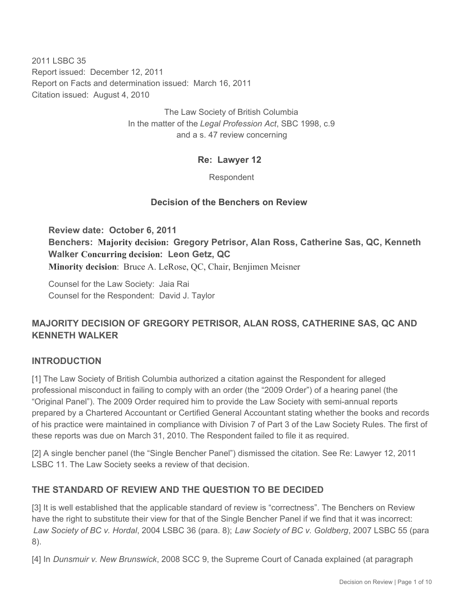2011 LSBC 35 Report issued: December 12, 2011 Report on Facts and determination issued: March 16, 2011 Citation issued: August 4, 2010

> The Law Society of British Columbia In the matter of the *Legal Profession Act*, SBC 1998, c.9 and a s. 47 review concerning

## **Re: Lawyer 12**

Respondent

#### **Decision of the Benchers on Review**

**Review date: October 6, 2011 Benchers: Majority decision: Gregory Petrisor, Alan Ross, Catherine Sas, QC, Kenneth Walker Concurring decision: Leon Getz, QC Minority decision**: Bruce A. LeRose, QC, Chair, Benjimen Meisner

Counsel for the Law Society: Jaia Rai Counsel for the Respondent: David J. Taylor

# **MAJORITY DECISION OF GREGORY PETRISOR, ALAN ROSS, CATHERINE SAS, QC AND KENNETH WALKER**

## **INTRODUCTION**

[1] The Law Society of British Columbia authorized a citation against the Respondent for alleged professional misconduct in failing to comply with an order (the "2009 Order") of a hearing panel (the "Original Panel"). The 2009 Order required him to provide the Law Society with semi-annual reports prepared by a Chartered Accountant or Certified General Accountant stating whether the books and records of his practice were maintained in compliance with Division 7 of Part 3 of the Law Society Rules. The first of these reports was due on March 31, 2010. The Respondent failed to file it as required.

[2] A single bencher panel (the "Single Bencher Panel") dismissed the citation. See Re: Lawyer 12, 2011 LSBC 11. The Law Society seeks a review of that decision.

## **THE STANDARD OF REVIEW AND THE QUESTION TO BE DECIDED**

[3] It is well established that the applicable standard of review is "correctness". The Benchers on Review have the right to substitute their view for that of the Single Bencher Panel if we find that it was incorrect: *Law Society of BC v. Hordal*, 2004 LSBC 36 (para. 8); *Law Society of BC v. Goldberg*, 2007 LSBC 55 (para 8).

[4] In *Dunsmuir v. New Brunswick*, 2008 SCC 9, the Supreme Court of Canada explained (at paragraph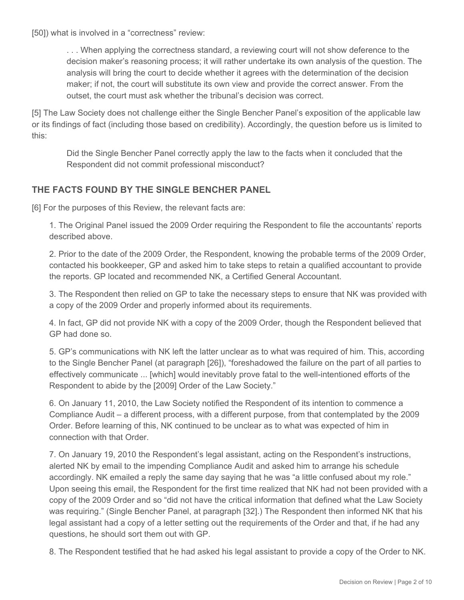[50]) what is involved in a "correctness" review:

. . . When applying the correctness standard, a reviewing court will not show deference to the decision maker's reasoning process; it will rather undertake its own analysis of the question. The analysis will bring the court to decide whether it agrees with the determination of the decision maker; if not, the court will substitute its own view and provide the correct answer. From the outset, the court must ask whether the tribunal's decision was correct.

[5] The Law Society does not challenge either the Single Bencher Panel's exposition of the applicable law or its findings of fact (including those based on credibility). Accordingly, the question before us is limited to this:

Did the Single Bencher Panel correctly apply the law to the facts when it concluded that the Respondent did not commit professional misconduct?

## **THE FACTS FOUND BY THE SINGLE BENCHER PANEL**

[6] For the purposes of this Review, the relevant facts are:

1. The Original Panel issued the 2009 Order requiring the Respondent to file the accountants' reports described above.

2. Prior to the date of the 2009 Order, the Respondent, knowing the probable terms of the 2009 Order, contacted his bookkeeper, GP and asked him to take steps to retain a qualified accountant to provide the reports. GP located and recommended NK, a Certified General Accountant.

3. The Respondent then relied on GP to take the necessary steps to ensure that NK was provided with a copy of the 2009 Order and properly informed about its requirements.

4. In fact, GP did not provide NK with a copy of the 2009 Order, though the Respondent believed that GP had done so.

5. GP's communications with NK left the latter unclear as to what was required of him. This, according to the Single Bencher Panel (at paragraph [26]), "foreshadowed the failure on the part of all parties to effectively communicate ... [which] would inevitably prove fatal to the well-intentioned efforts of the Respondent to abide by the [2009] Order of the Law Society."

6. On January 11, 2010, the Law Society notified the Respondent of its intention to commence a Compliance Audit – a different process, with a different purpose, from that contemplated by the 2009 Order. Before learning of this, NK continued to be unclear as to what was expected of him in connection with that Order.

7. On January 19, 2010 the Respondent's legal assistant, acting on the Respondent's instructions, alerted NK by email to the impending Compliance Audit and asked him to arrange his schedule accordingly. NK emailed a reply the same day saying that he was "a little confused about my role." Upon seeing this email, the Respondent for the first time realized that NK had not been provided with a copy of the 2009 Order and so "did not have the critical information that defined what the Law Society was requiring." (Single Bencher Panel, at paragraph [32].) The Respondent then informed NK that his legal assistant had a copy of a letter setting out the requirements of the Order and that, if he had any questions, he should sort them out with GP.

8. The Respondent testified that he had asked his legal assistant to provide a copy of the Order to NK.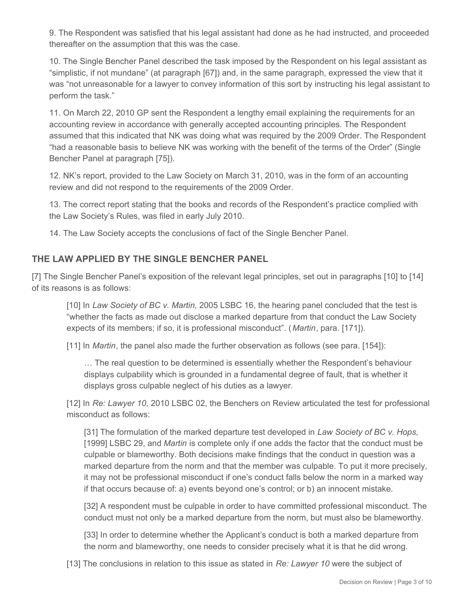9. The Respondent was satisfied that his legal assistant had done as he had instructed, and proceeded thereafter on the assumption that this was the case.

10. The Single Bencher Panel described the task imposed by the Respondent on his legal assistant as "simplistic, if not mundane" (at paragraph [67]) and, in the same paragraph, expressed the view that it was "not unreasonable for a lawyer to convey information of this sort by instructing his legal assistant to perform the task."

11. On March 22, 2010 GP sent the Respondent a lengthy email explaining the requirements for an accounting review in accordance with generally accepted accounting principles. The Respondent assumed that this indicated that NK was doing what was required by the 2009 Order. The Respondent "had a reasonable basis to believe NK was working with the benefit of the terms of the Order" (Single Bencher Panel at paragraph [75]).

12. NK's report, provided to the Law Society on March 31, 2010, was in the form of an accounting review and did not respond to the requirements of the 2009 Order.

13. The correct report stating that the books and records of the Respondent's practice complied with the Law Society's Rules, was filed in early July 2010.

14. The Law Society accepts the conclusions of fact of the Single Bencher Panel.

## **THE LAW APPLIED BY THE SINGLE BENCHER PANEL**

[7] The Single Bencher Panel's exposition of the relevant legal principles, set out in paragraphs [10] to [14] of its reasons is as follows:

[10] In *Law Society of BC v. Martin*, 2005 LSBC 16, the hearing panel concluded that the test is "whether the facts as made out disclose a marked departure from that conduct the Law Society expects of its members; if so, it is professional misconduct". (*Martin*, para. [171]).

[11] In *Martin*, the panel also made the further observation as follows (see para. [154]):

… The real question to be determined is essentially whether the Respondent's behaviour displays culpability which is grounded in a fundamental degree of fault, that is whether it displays gross culpable neglect of his duties as a lawyer.

[12] In *Re: Lawyer 10*, 2010 LSBC 02, the Benchers on Review articulated the test for professional misconduct as follows:

[31] The formulation of the marked departure test developed in *Law Society of BC v. Hops*, [1999] LSBC 29, and *Martin* is complete only if one adds the factor that the conduct must be culpable or blameworthy. Both decisions make findings that the conduct in question was a marked departure from the norm and that the member was culpable. To put it more precisely, it may not be professional misconduct if one's conduct falls below the norm in a marked way if that occurs because of: a) events beyond one's control; or b) an innocent mistake.

[32] A respondent must be culpable in order to have committed professional misconduct. The conduct must not only be a marked departure from the norm, but must also be blameworthy.

[33] In order to determine whether the Applicant's conduct is both a marked departure from the norm and blameworthy, one needs to consider precisely what it is that he did wrong.

[13] The conclusions in relation to this issue as stated in *Re: Lawyer 10* were the subject of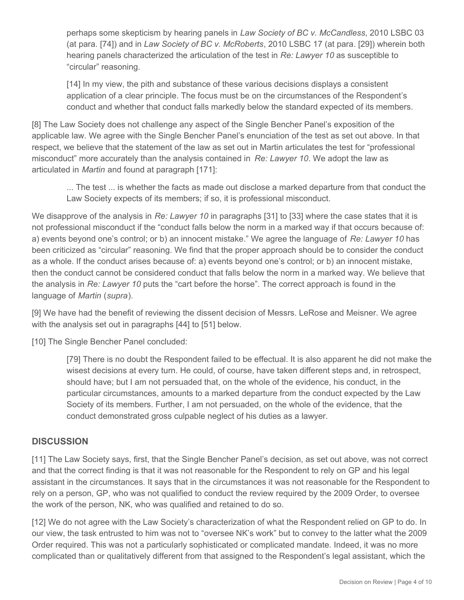perhaps some skepticism by hearing panels in *Law Society of BC v. McCandless*, 2010 LSBC 03 (at para. [74]) and in *Law Society of BC v. McRoberts*, 2010 LSBC 17 (at para. [29]) wherein both hearing panels characterized the articulation of the test in *Re: Lawyer 10* as susceptible to "circular" reasoning.

[14] In my view, the pith and substance of these various decisions displays a consistent application of a clear principle. The focus must be on the circumstances of the Respondent's conduct and whether that conduct falls markedly below the standard expected of its members.

[8] The Law Society does not challenge any aspect of the Single Bencher Panel's exposition of the applicable law. We agree with the Single Bencher Panel's enunciation of the test as set out above. In that respect, we believe that the statement of the law as set out in Martin articulates the test for "professional misconduct" more accurately than the analysis contained in *Re: Lawyer 10*. We adopt the law as articulated in *Martin* and found at paragraph [171]:

... The test ... is whether the facts as made out disclose a marked departure from that conduct the Law Society expects of its members; if so, it is professional misconduct.

We disapprove of the analysis in *Re: Lawyer 10* in paragraphs [31] to [33] where the case states that it is not professional misconduct if the "conduct falls below the norm in a marked way if that occurs because of: a) events beyond one's control; or b) an innocent mistake." We agree the language of *Re: Lawyer 10* has been criticized as "circular" reasoning. We find that the proper approach should be to consider the conduct as a whole. If the conduct arises because of: a) events beyond one's control; or b) an innocent mistake, then the conduct cannot be considered conduct that falls below the norm in a marked way. We believe that the analysis in *Re: Lawyer 10* puts the "cart before the horse". The correct approach is found in the language of *Martin* (*supra*).

[9] We have had the benefit of reviewing the dissent decision of Messrs. LeRose and Meisner. We agree with the analysis set out in paragraphs [44] to [51] below.

[10] The Single Bencher Panel concluded:

[79] There is no doubt the Respondent failed to be effectual. It is also apparent he did not make the wisest decisions at every turn. He could, of course, have taken different steps and, in retrospect, should have; but I am not persuaded that, on the whole of the evidence, his conduct, in the particular circumstances, amounts to a marked departure from the conduct expected by the Law Society of its members. Further, I am not persuaded, on the whole of the evidence, that the conduct demonstrated gross culpable neglect of his duties as a lawyer.

## **DISCUSSION**

[11] The Law Society says, first, that the Single Bencher Panel's decision, as set out above, was not correct and that the correct finding is that it was not reasonable for the Respondent to rely on GP and his legal assistant in the circumstances. It says that in the circumstances it was not reasonable for the Respondent to rely on a person, GP, who was not qualified to conduct the review required by the 2009 Order, to oversee the work of the person, NK, who was qualified and retained to do so.

[12] We do not agree with the Law Society's characterization of what the Respondent relied on GP to do. In our view, the task entrusted to him was not to "oversee NK's work" but to convey to the latter what the 2009 Order required. This was not a particularly sophisticated or complicated mandate. Indeed, it was no more complicated than or qualitatively different from that assigned to the Respondent's legal assistant, which the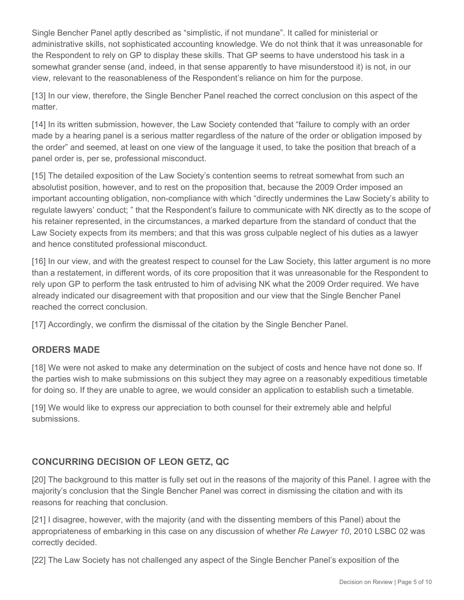Single Bencher Panel aptly described as "simplistic, if not mundane". It called for ministerial or administrative skills, not sophisticated accounting knowledge. We do not think that it was unreasonable for the Respondent to rely on GP to display these skills. That GP seems to have understood his task in a somewhat grander sense (and, indeed, in that sense apparently to have misunderstood it) is not, in our view, relevant to the reasonableness of the Respondent's reliance on him for the purpose.

[13] In our view, therefore, the Single Bencher Panel reached the correct conclusion on this aspect of the matter.

[14] In its written submission, however, the Law Society contended that "failure to comply with an order made by a hearing panel is a serious matter regardless of the nature of the order or obligation imposed by the order" and seemed, at least on one view of the language it used, to take the position that breach of a panel order is, per se, professional misconduct.

[15] The detailed exposition of the Law Society's contention seems to retreat somewhat from such an absolutist position, however, and to rest on the proposition that, because the 2009 Order imposed an important accounting obligation, non-compliance with which "directly undermines the Law Society's ability to regulate lawyers' conduct; " that the Respondent's failure to communicate with NK directly as to the scope of his retainer represented, in the circumstances, a marked departure from the standard of conduct that the Law Society expects from its members; and that this was gross culpable neglect of his duties as a lawyer and hence constituted professional misconduct.

[16] In our view, and with the greatest respect to counsel for the Law Society, this latter argument is no more than a restatement, in different words, of its core proposition that it was unreasonable for the Respondent to rely upon GP to perform the task entrusted to him of advising NK what the 2009 Order required. We have already indicated our disagreement with that proposition and our view that the Single Bencher Panel reached the correct conclusion.

[17] Accordingly, we confirm the dismissal of the citation by the Single Bencher Panel.

## **ORDERS MADE**

[18] We were not asked to make any determination on the subject of costs and hence have not done so. If the parties wish to make submissions on this subject they may agree on a reasonably expeditious timetable for doing so. If they are unable to agree, we would consider an application to establish such a timetable.

[19] We would like to express our appreciation to both counsel for their extremely able and helpful submissions.

# **CONCURRING DECISION OF LEON GETZ, QC**

[20] The background to this matter is fully set out in the reasons of the majority of this Panel. I agree with the majority's conclusion that the Single Bencher Panel was correct in dismissing the citation and with its reasons for reaching that conclusion.

[21] I disagree, however, with the majority (and with the dissenting members of this Panel) about the appropriateness of embarking in this case on any discussion of whether *Re Lawyer 10*, 2010 LSBC 02 was correctly decided.

[22] The Law Society has not challenged any aspect of the Single Bencher Panel's exposition of the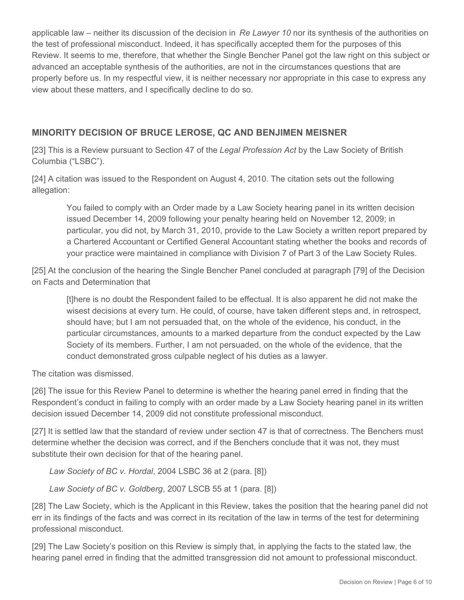applicable law – neither its discussion of the decision in *Re Lawyer 10* nor its synthesis of the authorities on the test of professional misconduct. Indeed, it has specifically accepted them for the purposes of this Review. It seems to me, therefore, that whether the Single Bencher Panel got the law right on this subject or advanced an acceptable synthesis of the authorities, are not in the circumstances questions that are properly before us. In my respectful view, it is neither necessary nor appropriate in this case to express any view about these matters, and I specifically decline to do so.

## **MINORITY DECISION OF BRUCE LEROSE, QC AND BENJIMEN MEISNER**

[23] This is a Review pursuant to Section 47 of the *Legal Profession Act* by the Law Society of British Columbia ("LSBC").

[24] A citation was issued to the Respondent on August 4, 2010. The citation sets out the following allegation:

You failed to comply with an Order made by a Law Society hearing panel in its written decision issued December 14, 2009 following your penalty hearing held on November 12, 2009; in particular, you did not, by March 31, 2010, provide to the Law Society a written report prepared by a Chartered Accountant or Certified General Accountant stating whether the books and records of your practice were maintained in compliance with Division 7 of Part 3 of the Law Society Rules.

[25] At the conclusion of the hearing the Single Bencher Panel concluded at paragraph [79] of the Decision on Facts and Determination that

[t]here is no doubt the Respondent failed to be effectual. It is also apparent he did not make the wisest decisions at every turn. He could, of course, have taken different steps and, in retrospect, should have; but I am not persuaded that, on the whole of the evidence, his conduct, in the particular circumstances, amounts to a marked departure from the conduct expected by the Law Society of its members. Further, I am not persuaded, on the whole of the evidence, that the conduct demonstrated gross culpable neglect of his duties as a lawyer.

The citation was dismissed.

[26] The issue for this Review Panel to determine is whether the hearing panel erred in finding that the Respondent's conduct in failing to comply with an order made by a Law Society hearing panel in its written decision issued December 14, 2009 did not constitute professional misconduct.

[27] It is settled law that the standard of review under section 47 is that of correctness. The Benchers must determine whether the decision was correct, and if the Benchers conclude that it was not, they must substitute their own decision for that of the hearing panel.

*Law Society of BC v. Hordal*, 2004 LSBC 36 at 2 (para. [8])

*Law Society of BC v. Goldberg*, 2007 LSCB 55 at 1 (para. [8])

[28] The Law Society, which is the Applicant in this Review, takes the position that the hearing panel did not err in its findings of the facts and was correct in its recitation of the law in terms of the test for determining professional misconduct.

[29] The Law Society's position on this Review is simply that, in applying the facts to the stated law, the hearing panel erred in finding that the admitted transgression did not amount to professional misconduct.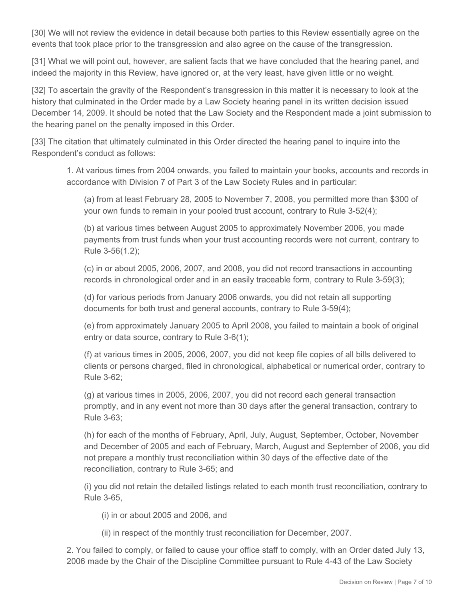[30] We will not review the evidence in detail because both parties to this Review essentially agree on the events that took place prior to the transgression and also agree on the cause of the transgression.

[31] What we will point out, however, are salient facts that we have concluded that the hearing panel, and indeed the majority in this Review, have ignored or, at the very least, have given little or no weight.

[32] To ascertain the gravity of the Respondent's transgression in this matter it is necessary to look at the history that culminated in the Order made by a Law Society hearing panel in its written decision issued December 14, 2009. It should be noted that the Law Society and the Respondent made a joint submission to the hearing panel on the penalty imposed in this Order.

[33] The citation that ultimately culminated in this Order directed the hearing panel to inquire into the Respondent's conduct as follows:

1. At various times from 2004 onwards, you failed to maintain your books, accounts and records in accordance with Division 7 of Part 3 of the Law Society Rules and in particular:

(a) from at least February 28, 2005 to November 7, 2008, you permitted more than \$300 of your own funds to remain in your pooled trust account, contrary to Rule 3-52(4);

(b) at various times between August 2005 to approximately November 2006, you made payments from trust funds when your trust accounting records were not current, contrary to Rule 3-56(1.2);

(c) in or about 2005, 2006, 2007, and 2008, you did not record transactions in accounting records in chronological order and in an easily traceable form, contrary to Rule 3-59(3);

(d) for various periods from January 2006 onwards, you did not retain all supporting documents for both trust and general accounts, contrary to Rule 3-59(4);

(e) from approximately January 2005 to April 2008, you failed to maintain a book of original entry or data source, contrary to Rule 3-6(1);

(f) at various times in 2005, 2006, 2007, you did not keep file copies of all bills delivered to clients or persons charged, filed in chronological, alphabetical or numerical order, contrary to Rule 3-62;

(g) at various times in 2005, 2006, 2007, you did not record each general transaction promptly, and in any event not more than 30 days after the general transaction, contrary to Rule 3-63;

(h) for each of the months of February, April, July, August, September, October, November and December of 2005 and each of February, March, August and September of 2006, you did not prepare a monthly trust reconciliation within 30 days of the effective date of the reconciliation, contrary to Rule 3-65; and

(i) you did not retain the detailed listings related to each month trust reconciliation, contrary to Rule 3-65,

(i) in or about 2005 and 2006, and

(ii) in respect of the monthly trust reconciliation for December, 2007.

2. You failed to comply, or failed to cause your office staff to comply, with an Order dated July 13, 2006 made by the Chair of the Discipline Committee pursuant to Rule 4-43 of the Law Society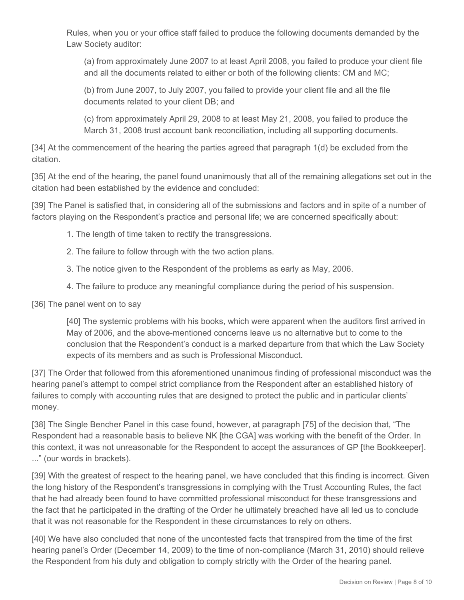Rules, when you or your office staff failed to produce the following documents demanded by the Law Society auditor:

(a) from approximately June 2007 to at least April 2008, you failed to produce your client file and all the documents related to either or both of the following clients: CM and MC;

(b) from June 2007, to July 2007, you failed to provide your client file and all the file documents related to your client DB; and

(c) from approximately April 29, 2008 to at least May 21, 2008, you failed to produce the March 31, 2008 trust account bank reconciliation, including all supporting documents.

[34] At the commencement of the hearing the parties agreed that paragraph 1(d) be excluded from the citation.

[35] At the end of the hearing, the panel found unanimously that all of the remaining allegations set out in the citation had been established by the evidence and concluded:

[39] The Panel is satisfied that, in considering all of the submissions and factors and in spite of a number of factors playing on the Respondent's practice and personal life; we are concerned specifically about:

- 1. The length of time taken to rectify the transgressions.
- 2. The failure to follow through with the two action plans.
- 3. The notice given to the Respondent of the problems as early as May, 2006.
- 4. The failure to produce any meaningful compliance during the period of his suspension.

[36] The panel went on to say

[40] The systemic problems with his books, which were apparent when the auditors first arrived in May of 2006, and the above-mentioned concerns leave us no alternative but to come to the conclusion that the Respondent's conduct is a marked departure from that which the Law Society expects of its members and as such is Professional Misconduct.

[37] The Order that followed from this aforementioned unanimous finding of professional misconduct was the hearing panel's attempt to compel strict compliance from the Respondent after an established history of failures to comply with accounting rules that are designed to protect the public and in particular clients' money.

[38] The Single Bencher Panel in this case found, however, at paragraph [75] of the decision that, "The Respondent had a reasonable basis to believe NK [the CGA] was working with the benefit of the Order. In this context, it was not unreasonable for the Respondent to accept the assurances of GP [the Bookkeeper]. ..." (our words in brackets).

[39] With the greatest of respect to the hearing panel, we have concluded that this finding is incorrect. Given the long history of the Respondent's transgressions in complying with the Trust Accounting Rules, the fact that he had already been found to have committed professional misconduct for these transgressions and the fact that he participated in the drafting of the Order he ultimately breached have all led us to conclude that it was not reasonable for the Respondent in these circumstances to rely on others.

[40] We have also concluded that none of the uncontested facts that transpired from the time of the first hearing panel's Order (December 14, 2009) to the time of non-compliance (March 31, 2010) should relieve the Respondent from his duty and obligation to comply strictly with the Order of the hearing panel.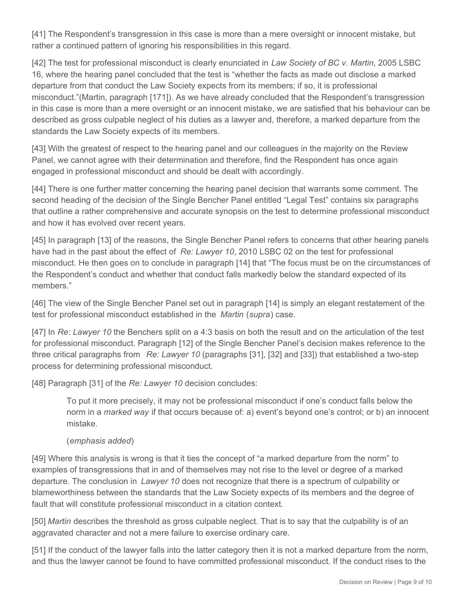[41] The Respondent's transgression in this case is more than a mere oversight or innocent mistake, but rather a continued pattern of ignoring his responsibilities in this regard.

[42] The test for professional misconduct is clearly enunciated in *Law Society of BC v. Martin*, 2005 LSBC 16, where the hearing panel concluded that the test is "whether the facts as made out disclose a marked departure from that conduct the Law Society expects from its members; if so, it is professional misconduct."(Martin, paragraph [171]). As we have already concluded that the Respondent's transgression in this case is more than a mere oversight or an innocent mistake, we are satisfied that his behaviour can be described as gross culpable neglect of his duties as a lawyer and, therefore, a marked departure from the standards the Law Society expects of its members.

[43] With the greatest of respect to the hearing panel and our colleagues in the majority on the Review Panel, we cannot agree with their determination and therefore, find the Respondent has once again engaged in professional misconduct and should be dealt with accordingly.

[44] There is one further matter concerning the hearing panel decision that warrants some comment. The second heading of the decision of the Single Bencher Panel entitled "Legal Test" contains six paragraphs that outline a rather comprehensive and accurate synopsis on the test to determine professional misconduct and how it has evolved over recent years.

[45] In paragraph [13] of the reasons, the Single Bencher Panel refers to concerns that other hearing panels have had in the past about the effect of *Re: Lawyer 10*, 2010 LSBC 02 on the test for professional misconduct. He then goes on to conclude in paragraph [14] that "The focus must be on the circumstances of the Respondent's conduct and whether that conduct falls markedly below the standard expected of its members."

[46] The view of the Single Bencher Panel set out in paragraph [14] is simply an elegant restatement of the test for professional misconduct established in the *Martin* (*supra*) case.

[47] In *Re: Lawyer 10* the Benchers split on a 4:3 basis on both the result and on the articulation of the test for professional misconduct. Paragraph [12] of the Single Bencher Panel's decision makes reference to the three critical paragraphs from *Re: Lawyer 10* (paragraphs [31], [32] and [33]) that established a two-step process for determining professional misconduct.

[48] Paragraph [31] of the *Re: Lawyer 10* decision concludes:

To put it more precisely, it may not be professional misconduct if one's conduct falls below the norm in a *marked way* if that occurs because of: a) event's beyond one's control; or b) an innocent mistake.

#### (*emphasis added*)

[49] Where this analysis is wrong is that it ties the concept of "a marked departure from the norm" to examples of transgressions that in and of themselves may not rise to the level or degree of a marked departure. The conclusion in *Lawyer 10* does not recognize that there is a spectrum of culpability or blameworthiness between the standards that the Law Society expects of its members and the degree of fault that will constitute professional misconduct in a citation context.

[50] *Martin* describes the threshold as gross culpable neglect. That is to say that the culpability is of an aggravated character and not a mere failure to exercise ordinary care.

[51] If the conduct of the lawyer falls into the latter category then it is not a marked departure from the norm, and thus the lawyer cannot be found to have committed professional misconduct. If the conduct rises to the